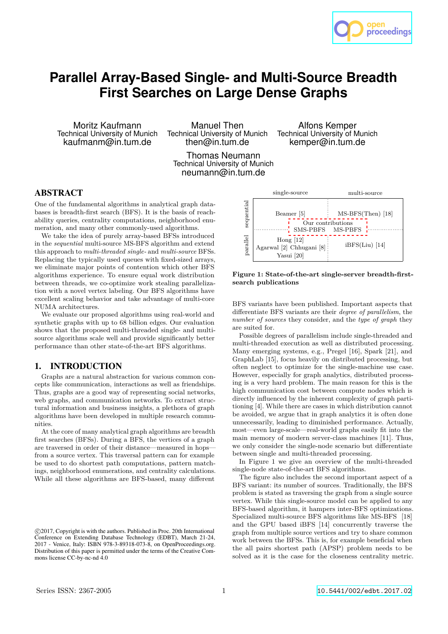

# **Parallel Array-Based Single- and Multi-Source Breadth First Searches on Large Dense Graphs**

Moritz Kaufmann Technical University of Munich kaufmanm@in.tum.de

Manuel Then Technical University of Munich then@in.tum.de

Alfons Kemper Technical University of Munich kemper@in.tum.de

Thomas Neumann Technical University of Munich neumann@in.tum.de

# ABSTRACT

One of the fundamental algorithms in analytical graph databases is breadth-first search (BFS). It is the basis of reachability queries, centrality computations, neighborhood enumeration, and many other commonly-used algorithms.

We take the idea of purely array-based BFSs introduced in the *sequential* multi-source MS-BFS algorithm and extend this approach to *multi-threaded single-* and *multi-source* BFSs. Replacing the typically used queues with fixed-sized arrays, we eliminate major points of contention which other BFS algorithms experience. To ensure equal work distribution between threads, we co-optimize work stealing parallelization with a novel vertex labeling. Our BFS algorithms have excellent scaling behavior and take advantage of multi-core NUMA architectures.

We evaluate our proposed algorithms using real-world and synthetic graphs with up to 68 billion edges. Our evaluation shows that the proposed multi-threaded single- and multisource algorithms scale well and provide significantly better performance than other state-of-the-art BFS algorithms.

### 1. INTRODUCTION

Graphs are a natural abstraction for various common concepts like communication, interactions as well as friendships. Thus, graphs are a good way of representing social networks, web graphs, and communication networks. To extract structural information and business insights, a plethora of graph algorithms have been developed in multiple research communities.

At the core of many analytical graph algorithms are breadth first searches (BFSs). During a BFS, the vertices of a graph are traversed in order of their distance—measured in hops from a source vertex. This traversal pattern can for example be used to do shortest path computations, pattern matchings, neighborhood enumerations, and centrality calculations. While all these algorithms are BFS-based, many different



**Figure 1: State-of-the-art single-server breadth-firstsearch publications**

BFS variants have been published. Important aspects that differentiate BFS variants are their *degree of parallelism*, the *number of sources* they consider, and the *type of graph* they are suited for.

Possible degrees of parallelism include single-threaded and multi-threaded execution as well as distributed processing. Many emerging systems, e.g., Pregel [16], Spark [21], and GraphLab [15], focus heavily on distributed processing, but often neglect to optimize for the single-machine use case. However, especially for graph analytics, distributed processing is a very hard problem. The main reason for this is the high communication cost between compute nodes which is directly influenced by the inherent complexity of graph partitioning [4]. While there are cases in which distribution cannot be avoided, we argue that in graph analytics it is often done unnecessarily, leading to diminished performance. Actually, most—even large-scale—real-world graphs easily fit into the main memory of modern server-class machines [11]. Thus, we only consider the single-node scenario but differentiate between single and multi-threaded processing.

In Figure 1 we give an overview of the multi-threaded single-node state-of-the-art BFS algorithms.

The figure also includes the second important aspect of a BFS variant: its number of sources. Traditionally, the BFS problem is stated as traversing the graph from a single source vertex. While this single-source model can be applied to any BFS-based algorithm, it hampers inter-BFS optimizations. Specialized multi-source BFS algorithms like MS-BFS [18] and the GPU based iBFS [14] concurrently traverse the graph from multiple source vertices and try to share common work between the BFSs. This is, for example beneficial when the all pairs shortest path (APSP) problem needs to be solved as it is the case for the closeness centrality metric.

c 2017, Copyright is with the authors. Published in Proc. 20th International Conference on Extending Database Technology (EDBT), March 21-24, 2017 - Venice, Italy: ISBN 978-3-89318-073-8, on OpenProceedings.org. Distribution of this paper is permitted under the terms of the Creative Commons license CC-by-nc-nd 4.0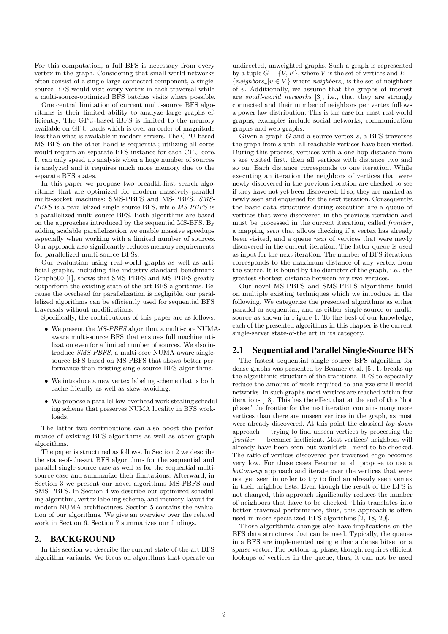For this computation, a full BFS is necessary from every vertex in the graph. Considering that small-world networks often consist of a single large connected component, a singlesource BFS would visit every vertex in each traversal while a multi-source-optimized BFS batches visits where possible.

One central limitation of current multi-source BFS algorithms is their limited ability to analyze large graphs efficiently. The GPU-based iBFS is limited to the memory available on GPU cards which is over an order of magnitude less than what is available in modern servers. The CPU-based MS-BFS on the other hand is sequential; utilizing all cores would require an separate BFS instance for each CPU core. It can only speed up analysis when a huge number of sources is analyzed and it requires much more memory due to the separate BFS states.

In this paper we propose two breadth-first search algorithms that are optimized for modern massively-parallel multi-socket machines: SMS-PBFS and MS-PBFS. *SMS-PBFS* is a parallelized single-source BFS, while *MS-PBFS* is a parallelized multi-source BFS. Both algorithms are based on the approaches introduced by the sequential MS-BFS. By adding scalable parallelization we enable massive speedups especially when working with a limited number of sources. Our approach also significantly reduces memory requirements for parallelized multi-source BFSs.

Our evaluation using real-world graphs as well as artificial graphs, including the industry-standard benchmark Graph500 [1], shows that SMS-PBFS and MS-PBFS greatly outperform the existing state-of-the-art BFS algorithms. Because the overhead for parallelization is negligible, our parallelized algorithms can be efficiently used for sequential BFS traversals without modifications.

Specifically, the contributions of this paper are as follows:

- We present the *MS-PBFS* algorithm, a multi-core NUMAaware multi-source BFS that ensures full machine utilization even for a limited number of sources. We also introduce *SMS-PBFS*, a multi-core NUMA-aware singlesource BFS based on MS-PBFS that shows better performance than existing single-source BFS algorithms.
- We introduce a new vertex labeling scheme that is both cache-friendly as well as skew-avoiding.
- We propose a parallel low-overhead work stealing scheduling scheme that preserves NUMA locality in BFS workloads.

The latter two contributions can also boost the performance of existing BFS algorithms as well as other graph algorithms.

The paper is structured as follows. In Section 2 we describe the state-of-the-art BFS algorithms for the sequential and parallel single-source case as well as for the sequential multisource case and summarize their limitations. Afterward, in Section 3 we present our novel algorithms MS-PBFS and SMS-PBFS. In Section 4 we describe our optimized scheduling algorithm, vertex labeling scheme, and memory-layout for modern NUMA architectures. Section 5 contains the evaluation of our algorithms. We give an overview over the related work in Section 6. Section 7 summarizes our findings.

### 2. BACKGROUND

In this section we describe the current state-of-the-art BFS algorithm variants. We focus on algorithms that operate on

undirected, unweighted graphs. Such a graph is represented by a tuple  $G = \{V, E\}$ , where *V* is the set of vertices and  $E =$  $\{neighbours_v|v \in V\}$  where  $neighbours_v$  is the set of neighbors of *v*. Additionally, we assume that the graphs of interest are *small-world networks* [3], i.e., that they are strongly connected and their number of neighbors per vertex follows a power law distribution. This is the case for most real-world graphs; examples include social networks, communication graphs and web graphs.

Given a graph *G* and a source vertex *s*, a BFS traverses the graph from *s* until all reachable vertices have been visited. During this process, vertices with a one-hop distance from *s* are visited first, then all vertices with distance two and so on. Each distance corresponds to one iteration. While executing an iteration the neighbors of vertices that were newly discovered in the previous iteration are checked to see if they have not yet been discovered. If so, they are marked as newly seen and enqueued for the next iteration. Consequently, the basic data structures during execution are a queue of vertices that were discovered in the previous iteration and must be processed in the current iteration, called *frontier*, a mapping *seen* that allows checking if a vertex has already been visited, and a queue *next* of vertices that were newly discovered in the current iteration. The latter queue is used as input for the next iteration. The number of BFS iterations corresponds to the maximum distance of any vertex from the source. It is bound by the diameter of the graph, i.e., the greatest shortest distance between any two vertices.

Our novel MS-PBFS and SMS-PBFS algorithms build on multiple existing techniques which we introduce in the following. We categorize the presented algorithms as either parallel or sequential, and as either single-source or multisource as shown in Figure 1. To the best of our knowledge, each of the presented algorithms in this chapter is the current single-server state-of-the art in its category.

### 2.1 Sequential and Parallel Single-Source BFS

The fastest sequential single source BFS algorithm for dense graphs was presented by Beamer et al. [5]. It breaks up the algorithmic structure of the traditional BFS to especially reduce the amount of work required to analyze small-world networks. In such graphs most vertices are reached within few iterations [18]. This has the effect that at the end of this "hot phase" the frontier for the next iteration contains many more vertices than there are unseen vertices in the graph, as most were already discovered. At this point the classical *top-down* approach — trying to find unseen vertices by processing the *frontier* — becomes inefficient. Most vertices' neighbors will already have been seen but would still need to be checked. The ratio of vertices discovered per traversed edge becomes very low. For these cases Beamer et al. propose to use a *bottom-up* approach and iterate over the vertices that were not yet seen in order to try to find an already seen vertex in their neighbor lists. Even though the result of the BFS is not changed, this approach significantly reduces the number of neighbors that have to be checked. This translates into better traversal performance, thus, this approach is often used in more specialized BFS algorithms [2, 18, 20].

Those algorithmic changes also have implications on the BFS data structures that can be used. Typically, the queues in a BFS are implemented using either a dense bitset or a sparse vector. The bottom-up phase, though, requires efficient lookups of vertices in the queue, thus, it can not be used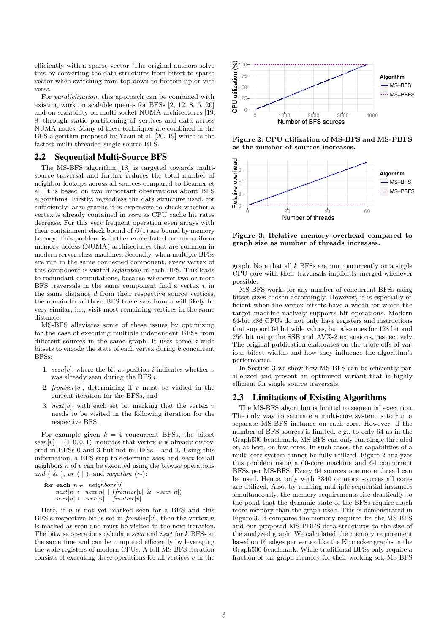efficiently with a sparse vector. The original authors solve this by converting the data structures from bitset to sparse vector when switching from top-down to bottom-up or vice versa.

For *parallelization*, this approach can be combined with existing work on scalable queues for BFSs [2, 12, 8, 5, 20] and on scalability on multi-socket NUMA architectures [19, 8] through static partitioning of vertices and data across NUMA nodes. Many of these techniques are combined in the BFS algorithm proposed by Yasui et al. [20, 19] which is the fastest multi-threaded single-source BFS.

#### 2.2 Sequential Multi-Source BFS

The MS-BFS algorithm [18] is targeted towards multisource traversal and further reduces the total number of neighbor lookups across all sources compared to Beamer et al. It is based on two important observations about BFS algorithms. Firstly, regardless the data structure used, for sufficiently large graphs it is expensive to check whether a vertex is already contained in *seen* as CPU cache hit rates decrease. For this very frequent operation even arrays with their containment check bound of  $O(1)$  are bound by memory latency. This problem is further exacerbated on non-uniform memory access (NUMA) architectures that are common in modern server-class machines. Secondly, when multiple BFSs are run in the same connected component, every vertex of this component is visited *separately* in each BFS. This leads to redundant computations, because whenever two or more BFS traversals in the same component find a vertex *v* in the same distance *d* from their respective source vertices, the remainder of those BFS traversals from *v* will likely be very similar, i.e., visit most remaining vertices in the same distance.

MS-BFS alleviates some of these issues by optimizing for the case of executing multiple independent BFSs from different sources in the same graph. It uses three k-wide bitsets to encode the state of each vertex during *k* concurrent BFSs:

- 1.  $\text{seen}[v]$ , where the bit at position *i* indicates whether *v* was already seen during the BFS *i*,
- 2. *frontier*[*v*], determining if *v* must be visited in the current iteration for the BFSs, and
- 3. *next*[*v*], with each set bit marking that the vertex *v* needs to be visited in the following iteration for the respective BFS.

For example given  $k = 4$  concurrent BFSs, the bitset  $seen[v] = (1, 0, 0, 1)$  indicates that vertex *v* is already discovered in BFSs 0 and 3 but not in BFSs 1 and 2. Using this information, a BFS step to determine *seen* and *next* for all neighbors *n* of *v* can be executed using the bitwise operations *and* ( & ), *or* ( | ), and *negation*  $(\sim)$ :

**for each** 
$$
n \in
$$
 *neighbors*[v]  
 $next[n] \leftarrow next[n] \mid (frontier[v] \& \sim seen[n])$   
 $seen[n] \leftarrow seen[n] \mid frontier[v]$ 

Here, if *n* is not yet marked seen for a BFS and this BFS's respective bit is set in *frontier*[ $v$ ], then the vertex  $n$ is marked as seen and must be visited in the next iteration. The bitwise operations calculate *seen* and *next* for *k* BFSs at the same time and can be computed efficiently by leveraging the wide registers of modern CPUs. A full MS-BFS iteration consists of executing these operations for all vertices *v* in the



**Figure 2: CPU utilization of MS-BFS and MS-PBFS as the number of sources increases.**



**Figure 3: Relative memory overhead compared to graph size as number of threads increases.**

graph. Note that all *k* BFSs are run concurrently on a single CPU core with their traversals implicitly merged whenever possible.

MS-BFS works for any number of concurrent BFSs using bitset sizes chosen accordingly. However, it is especially efficient when the vertex bitsets have a width for which the target machine natively supports bit operations. Modern 64-bit x86 CPUs do not only have registers and instructions that support 64 bit wide values, but also ones for 128 bit and 256 bit using the SSE and AVX-2 extensions, respectively. The original publication elaborates on the trade-offs of various bitset widths and how they influence the algorithm's performance.

In Section 3 we show how MS-BFS can be efficiently parallelized and present an optimized variant that is highly efficient for single source traversals.

#### 2.3 Limitations of Existing Algorithms

The MS-BFS algorithm is limited to sequential execution. The only way to saturate a multi-core system is to run a separate MS-BFS instance on each core. However, if the number of BFS sources is limited, e.g., to only 64 as in the Graph500 benchmark, MS-BFS can only run single-threaded or, at best, on few cores. In such cases, the capabilities of a multi-core system cannot be fully utilized. Figure 2 analyzes this problem using a 60-core machine and 64 concurrent BFSs per MS-BFS. Every 64 sources one more thread can be used. Hence, only with 3840 or more sources all cores are utilized. Also, by running multiple sequential instances simultaneously, the memory requirements rise drastically to the point that the dynamic state of the BFSs require much more memory than the graph itself. This is demonstrated in Figure 3. It compares the memory required for the MS-BFS and our proposed MS-PBFS data structures to the size of the analyzed graph. We calculated the memory requirement based on 16 edges per vertex like the Kronecker graphs in the Graph500 benchmark. While traditional BFSs only require a fraction of the graph memory for their working set, MS-BFS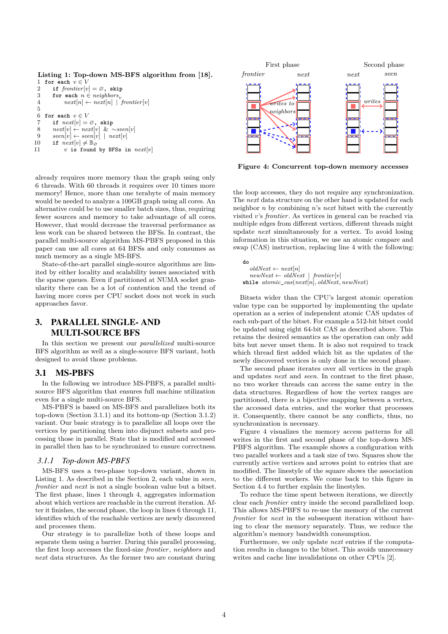```
Listing 1: Top-down MS-BFS algorithm from [18].
 1 for each v \in V<br>2 if frontier[v]
 2 if frontier[v] = \emptyset, skip<br>3 for each n \in neighbours.
 3 for each n \in neighbors<sup>i</sup> next[n] \leftarrow next[n] |
                  next[n] \leftarrow next[n] \mid 'frontier[v]5
  6 for each v \in V7 if next[v] = \emptyset, skip
 8 next[v] ← next[v] & ∼seen[v]
\begin{bmatrix} 9 & \text{seen}[v] \leftarrow \text{seen}[v] & \text{near}[v] \\ 10 & \text{if } \text{next}[v] \neq \mathbb{R}_{\alpha} \end{bmatrix}10 if next[v] \neq \mathbb{B}_{\varnothing}<br>11 v is found
                  v is found by BFSs in next[v]
```
already requires more memory than the graph using only 6 threads. With 60 threads it requires over 10 times more memory! Hence, more than one terabyte of main memory would be needed to analyze a 100GB graph using all cores. An alternative could be to use smaller batch sizes, thus, requiring fewer sources and memory to take advantage of all cores. However, that would decrease the traversal performance as less work can be shared between the BFSs. In contrast, the parallel multi-source algorithm MS-PBFS proposed in this paper can use all cores at 64 BFSs and only consumes as much memory as a single MS-BFS.

State-of-the-art parallel single-source algorithms are limited by either locality and scalability issues associated with the sparse queues. Even if partitioned at NUMA socket granularity there can be a lot of contention and the trend of having more cores per CPU socket does not work in such approaches favor.

# 3. PARALLEL SINGLE- AND MULTI-SOURCE BFS

In this section we present our *parallelized* multi-source BFS algorithm as well as a single-source BFS variant, both designed to avoid those problems.

### 3.1 MS-PBFS

In the following we introduce MS-PBFS, a parallel multisource BFS algorithm that ensures full machine utilization even for a single multi-source BFS.

MS-PBFS is based on MS-BFS and parallelizes both its top-down (Section 3.1.1) and its bottom-up (Section 3.1.2) variant. Our basic strategy is to parallelize all loops over the vertices by partitioning them into disjunct subsets and processing those in parallel. State that is modified and accessed in parallel then has to be synchronized to ensure correctness.

### *3.1.1 Top-down MS-PBFS*

MS-BFS uses a two-phase top-down variant, shown in Listing 1. As described in the Section 2, each value in *seen*, *frontier* and *next* is not a single boolean value but a bitset. The first phase, lines 1 through 4, aggregates information about which vertices are reachable in the current iteration. After it finishes, the second phase, the loop in lines 6 through 11, identifies which of the reachable vertices are newly discovered and processes them.

Our strategy is to parallelize both of these loops and separate them using a barrier. During this parallel processing, the first loop accesses the fixed-size *frontier*, *neighbors* and *next* data structures. As the former two are constant during



**Figure 4: Concurrent top-down memory accesses**

the loop accesses, they do not require any synchronization. The *next* data structure on the other hand is updated for each neighbor *n* by combining *n*'s *next* bitset with the currently visited *v*'s *frontier*. As vertices in general can be reached via multiple edges from different vertices, different threads might update *next* simultaneously for a vertex. To avoid losing information in this situation, we use an atomic compare and swap (CAS) instruction, replacing line 4 with the following:

**do**  $oldNext \leftarrow next[n]$  $newNext \leftarrow oldNext \mid frontier[v]$ **while** *atomic*\_*cas*(*next*[*n*]*, oldNext, newNext*)

Bitsets wider than the CPU's largest atomic operation value type can be supported by implementing the update operation as a series of independent atomic CAS updates of each sub-part of the bitset. For example a 512-bit bitset could be updated using eight 64-bit CAS as described above. This retains the desired semantics as the operation can only add bits but never unset them. It is also not required to track which thread first added which bit as the updates of the newly discovered vertices is only done in the second phase.

The second phase iterates over all vertices in the graph and updates *next* and *seen*. In contrast to the first phase, no two worker threads can access the same entry in the data structures. Regardless of how the vertex ranges are partitioned, there is a bijective mapping between a vertex, the accessed data entries, and the worker that processes it. Consequently, there cannot be any conflicts, thus, no synchronization is necessary.

Figure 4 visualizes the memory access patterns for all writes in the first and second phase of the top-down MS-PBFS algorithm. The example shows a configuration with two parallel workers and a task size of two. Squares show the currently active vertices and arrows point to entries that are modified. The linestyle of the square shows the association to the different workers. We come back to this figure in Section 4.4 to further explain the linestyles.

To reduce the time spent between iterations, we directly clear each *frontier* entry inside the second parallelized loop. This allows MS-PBFS to re-use the memory of the current *frontier* for *next* in the subsequent iteration without having to clear the memory separately. Thus, we reduce the algorithm's memory bandwidth consumption.

Furthermore, we only update *next* entries if the computation results in changes to the bitset. This avoids unnecessary writes and cache line invalidations on other CPUs [2].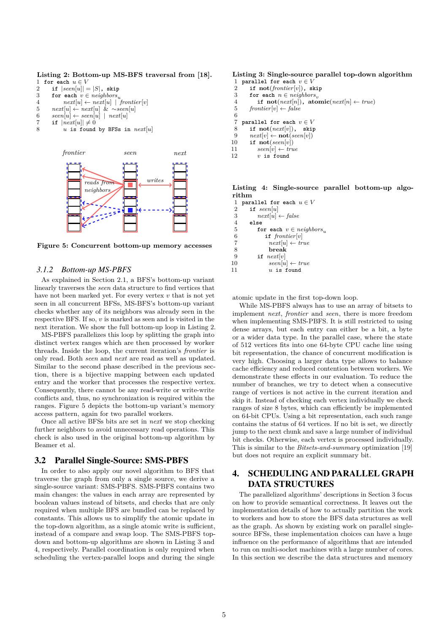**Listing 2: Bottom-up MS-BFS traversal from [18].** 1 **for each**  $u \in V$ 

|                | $\sim$ $\sim$ $\sim$ $\sim$ $\sim$ $\sim$ $\sim$ $\sim$ |                             |  |
|----------------|---------------------------------------------------------|-----------------------------|--|
| $\overline{2}$ |                                                         | if $ seen[u]  =  S $ , skip |  |

- 3 **for each**  $v \in neighbors_u$
- 4  $next[u] \leftarrow next[u] \mid 'frontier[v]$
- 5 *next*[*u*] ← *next*[*u*] & ∼*seen*[*u*]
- 6  $\begin{array}{ll} \text{seen}[u] \leftarrow \text{seen}[u] \mid \text{next}[u] \\ \text{7} & \text{if } \mid \text{next}[u] \mid \neq 0 \end{array}$
- 7 **if**  $|next[u]| \neq 0$ <br>8 *u* is found
- $u$  is found by BFSs in  $next[u]$



**Figure 5: Concurrent bottom-up memory accesses**

### *3.1.2 Bottom-up MS-PBFS*

As explained in Section 2.1, a BFS's bottom-up variant linearly traverses the *seen* data structure to find vertices that have not been marked yet. For every vertex *v* that is not yet seen in all concurrent BFSs, MS-BFS's bottom-up variant checks whether any of its neighbors was already seen in the respective BFS. If so, *v* is marked as seen and is visited in the next iteration. We show the full bottom-up loop in Listing 2.

MS-PBFS parallelizes this loop by splitting the graph into distinct vertex ranges which are then processed by worker threads. Inside the loop, the current iteration's *frontier* is only read. Both *seen* and *next* are read as well as updated. Similar to the second phase described in the previous section, there is a bijective mapping between each updated entry and the worker that processes the respective vertex. Consequently, there cannot be any read-write or write-write conflicts and, thus, no synchronization is required within the ranges. Figure 5 depicts the bottom-up variant's memory access pattern, again for two parallel workers.

Once all active BFSs bits are set in *next* we stop checking further neighbors to avoid unnecessary read operations. This check is also used in the original bottom-up algorithm by Beamer et al.

### 3.2 Parallel Single-Source: SMS-PBFS

In order to also apply our novel algorithm to BFS that traverse the graph from only a single source, we derive a single-source variant: SMS-PBFS. SMS-PBFS contains two main changes: the values in each array are represented by boolean values instead of bitsets, and checks that are only required when multiple BFS are bundled can be replaced by constants. This allows us to simplify the atomic update in the top-down algorithm, as a single atomic write is sufficient, instead of a compare and swap loop. The SMS-PBFS topdown and bottom-up algorithms are shown in Listing 3 and 4, respectively. Parallel coordination is only required when scheduling the vertex-parallel loops and during the single

### **Listing 3: Single-source parallel top-down algorithm**

- 1 **parallel for each**  $v \in V$ <br>2 **if not**(*frontier[v]*) **s**]
- 2 **if**  $\text{not}(frontier[v])$ ,  $\text{skip}$ <br>3 **for each**  $n \in neighbours$ .
- 3 **for each**  $n \in neighbours_v$ <br>4 **if not**(next[n]), ato
- $\textbf{if not}(next[n]), \textbf{ atomic}(next[n] \leftarrow true)$
- 5  $frontier[v] \leftarrow false$
- 6
- 7 **parallel for each**  $v \in V$ <br>8 **if not**(next[v]), skip
- 8 **if**  $\text{not}(next[v]), \text{ skip}$ <br>9  $next[v] \leftarrow \text{not}(seen[v])$
- 9  $next[v] \leftarrow \textbf{not}(\text{seen}[v])$ <br>10 **if**  $\textbf{not}(\text{seen}[v])$  $\mathbf{if} \ \mathbf{not}(\mathit{seen}[v])$
- 
- 11  $\text{seen}[v] \leftarrow \text{true}$ <br>12  $v$  is found  $v$  is found

**Listing 4: Single-source parallel bottom-up algorithm**

**parallel for each**  $u \in V$ <br>2 **if** seen[u]  $\begin{bmatrix} 2 & \mathbf{if} \quad seen[u] \ 3 & \quad next[u] \end{bmatrix}$  $next[u] \leftarrow false$ 4 **else for each**  $v \in neighbors_u$ <br>6 **if** *frontier*[*v*] **if**  $frontier[v]$ <br>7  $next[u] \leftarrow tr$  $next[u] \leftarrow true$ <br>8 **break** 8 **break if** *next*[*v*]  $\qquad \qquad \text{seen}[u] \leftarrow \text{true}$ *u* is found

atomic update in the first top-down loop.

While MS-PBFS always has to use an array of bitsets to implement *next*, *frontier* and *seen*, there is more freedom when implementing SMS-PBFS. It is still restricted to using dense arrays, but each entry can either be a bit, a byte or a wider data type. In the parallel case, where the state of 512 vertices fits into one 64-byte CPU cache line using bit representation, the chance of concurrent modification is very high. Choosing a larger data type allows to balance cache efficiency and reduced contention between workers. We demonstrate these effects in our evaluation. To reduce the number of branches, we try to detect when a consecutive range of vertices is not active in the current iteration and skip it. Instead of checking each vertex individually we check ranges of size 8 bytes, which can efficiently be implemented on 64-bit CPUs. Using a bit representation, each such range contains the status of 64 vertices. If no bit is set, we directly jump to the next chunk and save a large number of individual bit checks. Otherwise, each vertex is processed individually. This is similar to the *Bitsets-and-summary* optimization [19] but does not require an explicit summary bit.

# 4. SCHEDULING AND PARALLEL GRAPH DATA STRUCTURES

The parallelized algorithms' descriptions in Section 3 focus on how to provide semantical correctness. It leaves out the implementation details of how to actually partition the work to workers and how to store the BFS data structures as well as the graph. As shown by existing work on parallel singlesource BFSs, these implementation choices can have a huge influence on the performance of algorithms that are intended to run on multi-socket machines with a large number of cores. In this section we describe the data structures and memory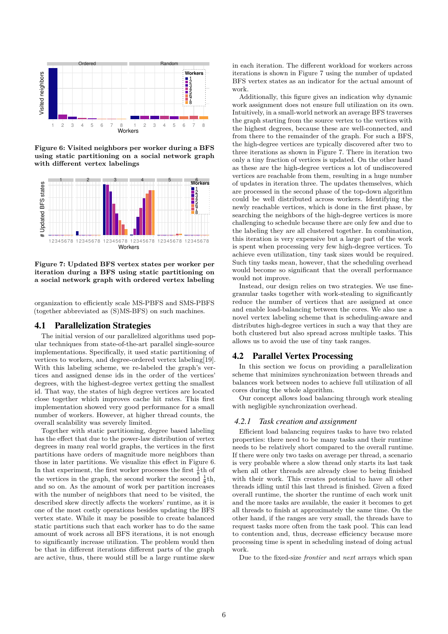

**Figure 6: Visited neighbors per worker during a BFS using static partitioning on a social network graph with different vertex labelings**



**Figure 7: Updated BFS vertex states per worker per iteration during a BFS using static partitioning on a social network graph with ordered vertex labeling**

organization to efficiently scale MS-PBFS and SMS-PBFS (together abbreviated as (S)MS-BFS) on such machines.

### 4.1 Parallelization Strategies

The initial version of our parallelized algorithms used popular techniques from state-of-the-art parallel single-source implementations. Specifically, it used static partitioning of vertices to workers, and degree-ordered vertex labeling[19]. With this labeling scheme, we re-labeled the graph's vertices and assigned dense ids in the order of the vertices' degrees, with the highest-degree vertex getting the smallest id. That way, the states of high degree vertices are located close together which improves cache hit rates. This first implementation showed very good performance for a small number of workers. However, at higher thread counts, the overall scalability was severely limited.

Together with static partitioning, degree based labeling has the effect that due to the power-law distribution of vertex degrees in many real world graphs, the vertices in the first partitions have orders of magnitude more neighbors than those in later partitions. We visualize this effect in Figure 6. In that experiment, the first worker processes the first  $\frac{1}{8}$ th of the vertices in the graph, the second worker the second  $\frac{1}{8}$ th, and so on. As the amount of work per partition increases with the number of neighbors that need to be visited, the described skew directly affects the workers' runtime, as it is one of the most costly operations besides updating the BFS vertex state. While it may be possible to create balanced static partitions such that each worker has to do the same amount of work across all BFS iterations, it is not enough to significantly increase utilization. The problem would then be that in different iterations different parts of the graph are active, thus, there would still be a large runtime skew

in each iteration. The different workload for workers across iterations is shown in Figure 7 using the number of updated BFS vertex states as an indicator for the actual amount of work.

Additionally, this figure gives an indication why dynamic work assignment does not ensure full utilization on its own. Intuitively, in a small-world network an average BFS traverses the graph starting from the source vertex to the vertices with the highest degrees, because these are well-connected, and from there to the remainder of the graph. For such a BFS, the high-degree vertices are typically discovered after two to three iterations as shown in Figure 7. There in iteration two only a tiny fraction of vertices is updated. On the other hand as these are the high-degree vertices a lot of undiscovered vertices are reachable from them, resulting in a huge number of updates in iteration three. The updates themselves, which are processed in the second phase of the top-down algorithm could be well distributed across workers. Identifying the newly reachable vertices, which is done in the first phase, by searching the neighbors of the high-degree vertices is more challenging to schedule because there are only few and due to the labeling they are all clustered together. In combination, this iteration is very expensive but a large part of the work is spent when processing very few high-degree vertices. To achieve even utilization, tiny task sizes would be required. Such tiny tasks mean, however, that the scheduling overhead would become so significant that the overall performance would not improve.

Instead, our design relies on two strategies. We use finegranular tasks together with work-stealing to significantly reduce the number of vertices that are assigned at once and enable load-balancing between the cores. We also use a novel vertex labeling scheme that is scheduling-aware and distributes high-degree vertices in such a way that they are both clustered but also spread across multiple tasks. This allows us to avoid the use of tiny task ranges.

### 4.2 Parallel Vertex Processing

In this section we focus on providing a parallelization scheme that minimizes synchronization between threads and balances work between nodes to achieve full utilization of all cores during the whole algorithm.

Our concept allows load balancing through work stealing with negligible synchronization overhead.

#### *4.2.1 Task creation and assignment*

Efficient load balancing requires tasks to have two related properties: there need to be many tasks and their runtime needs to be relatively short compared to the overall runtime. If there were only two tasks on average per thread, a scenario is very probable where a slow thread only starts its last task when all other threads are already close to being finished with their work. This creates potential to have all other threads idling until this last thread is finished. Given a fixed overall runtime, the shorter the runtime of each work unit and the more tasks are available, the easier it becomes to get all threads to finish at approximately the same time. On the other hand, if the ranges are very small, the threads have to request tasks more often from the task pool. This can lead to contention and, thus, decrease efficiency because more processing time is spent in scheduling instead of doing actual work.

Due to the fixed-size *frontier* and *next* arrays which span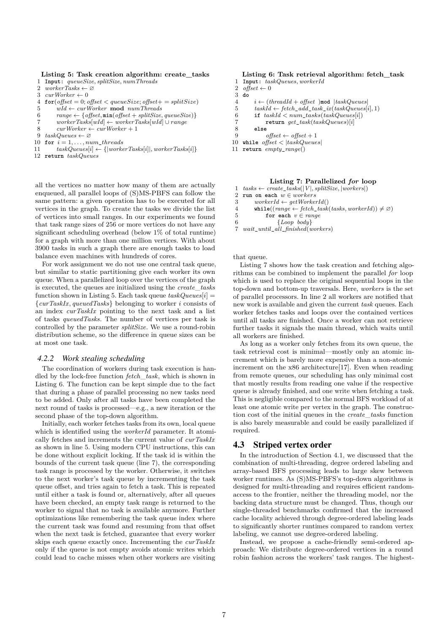#### **Listing 5: Task creation algorithm: create\_tasks**

- 1 **Input:**  $queueSize$ *, splitSize,*  $numThreads$ <br>2  $workerTasks \leftarrow \emptyset$
- 2 *workerTasks* ← ∅
- 3  $\textit{curWor}ker \leftarrow 0$
- 4 **for**( $offset = 0$ ;  $offset < queueSize$ ;  $offset += splitSize$ )
- 5 *wId* ← *curWorker* **mod** *numThreads*
- 6  $range \leftarrow \{offset, \min(offset + splitSize, queueSize)\}$
- 7 *workerTasks*[ $wId$ ] ←  $workerTasks[wId]$  ∪ *range*<br>8 *curWorker* ← *curWorker* + 1
- $8 \quad \text{curWorker} \leftarrow \text{curWorker} + 1$ <br>9  $\text{taskQueues} \leftarrow \varnothing$
- 9 *taskQueues* ← ∅
- 10 **for** *i* = 1*, . . . , num*\_*threads*
- 11  $taskQueues[i] \leftarrow \{|workerTask[i]|, workerTask[i]\}$
- 12 **return** *taskQueues*

all the vertices no matter how many of them are actually enqueued, all parallel loops of (S)MS-PBFS can follow the same pattern: a given operation has to be executed for all vertices in the graph. To create the tasks we divide the list of vertices into small ranges. In our experiments we found that task range sizes of 256 or more vertices do not have any significant scheduling overhead (below 1% of total runtime) for a graph with more than one million vertices. With about 3900 tasks in such a graph there are enough tasks to load balance even machines with hundreds of cores.

For work assignment we do not use one central task queue, but similar to static partitioning give each worker its own queue. When a parallelized loop over the vertices of the graph is executed, the queues are initialized using the *create*\_*tasks* function shown in Listing 5. Each task queue  $taskQueues[i] =$ {*curTaskIx, queuedTasks*} belonging to worker *i* consists of an index *curTaskIx* pointing to the next task and a list of tasks *queuedTasks*. The number of vertices per task is controlled by the parameter *splitSize*. We use a round-robin distribution scheme, so the difference in queue sizes can be at most one task.

#### *4.2.2 Work stealing scheduling*

The coordination of workers during task execution is handled by the lock-free function *fetch*\_*task*, which is shown in Listing 6. The function can be kept simple due to the fact that during a phase of parallel processing no new tasks need to be added. Only after all tasks have been completed the next round of tasks is processed—e.g., a new iteration or the second phase of the top-down algorithm.

Initially, each worker fetches tasks from its own, local queue which is identified using the *workerId* parameter. It atomically fetches and increments the current value of *curTaskIx* as shown in line 5. Using modern CPU instructions, this can be done without explicit locking. If the task id is within the bounds of the current task queue (line 7), the corresponding task range is processed by the worker. Otherwise, it switches to the next worker's task queue by incrementing the task queue offset, and tries again to fetch a task. This is repeated until either a task is found or, alternatively, after all queues have been checked, an empty task range is returned to the worker to signal that no task is available anymore. Further optimizations like remembering the task queue index where the current task was found and resuming from that offset when the next task is fetched, guarantee that every worker skips each queue exactly once. Incrementing the *curTaskIx* only if the queue is not empty avoids atomic writes which could lead to cache misses when other workers are visiting

#### **Listing 6: Task retrieval algorithm: fetch\_task**

- 1 **Input:**  $taskQueues, workerId$ <br>2 *offset*  $\leftarrow 0$
- $2 \text{ offset} \leftarrow 0$ <br>3 do
- 3 **do**
- $i \leftarrow (threadId + offset)$  mod  $|taskQueues|$
- 5  $taskId \leftarrow fetch\_add\_task\_ix(taskQueues[i], 1)$ <br>6 **if**  $taskId < num\_tasks(taskQueues[i])$
- 6 **if** *taskId < num*\_*tasks*(*taskQueues*[*i*])
- 7 **return** *get*\_*task*(*taskQueues*)[*i*]
- 8 **else**  $offset \leftarrow offset + 1$
- 10 **while** *offset <* |*taskQueues*|
- 11 **return** *empty*\_*range*()
	- **Listing 7: Parallelized** *for* **loop**
- 1  $tasks \leftarrow create\_tasks([V], splitSize, | workers)$ <br>2 run on each  $w \in workers$
- 2 **run on each**  $w \in workers$ <br>3 *workerId*  $\leftarrow$  *aetWorkes*
- 3 *workerId* ←  $getWorkerId()$ <br>4 **while**((*range* ← *fetch task*
- 4 **while**(( $range \leftarrow fetch\_task(tasks, workerId)$ ) ≠ ∅)<br>5 **for each**  $v \in range$
- 5 **for each**  $v \in range$ <br>6 {*Loop bodu*}
- 6 {*Loop body*}
- 7 *wait*\_*until*\_*all*\_*finished*(*workers*)

that queue.

Listing 7 shows how the task creation and fetching algorithms can be combined to implement the parallel *for* loop which is used to replace the original sequential loops in the top-down and bottom-up traversals. Here, *workers* is the set of parallel processors. In line 2 all workers are notified that new work is available and given the current *task* queues. Each worker fetches tasks and loops over the contained vertices until all tasks are finished. Once a worker can not retrieve further tasks it signals the main thread, which waits until all workers are finished.

As long as a worker only fetches from its own queue, the task retrieval cost is minimal—mostly only an atomic increment which is barely more expensive than a non-atomic increment on the x86 architecture[17]. Even when reading from remote queues, our scheduling has only minimal cost that mostly results from reading one value if the respective queue is already finished, and one write when fetching a task. This is negligible compared to the normal BFS workload of at least one atomic write per vertex in the graph. The construction cost of the initial queues in the *create*\_*tasks* function is also barely measurable and could be easily parallelized if required.

#### 4.3 Striped vertex order

In the introduction of Section 4.1, we discussed that the combination of multi-threading, degree ordered labeling and array-based BFS processing leads to large skew between worker runtimes. As (S)MS-PBFS's top-down algorithms is designed for multi-threading and requires efficient randomaccess to the frontier, neither the threading model, nor the backing data structure must be changed. Thus, though our single-threaded benchmarks confirmed that the increased cache locality achieved through degree-ordered labeling leads to significantly shorter runtimes compared to random vertex labeling, we cannot use degree-ordered labeling.

Instead, we propose a cache-friendly semi-ordered approach: We distribute degree-ordered vertices in a round robin fashion across the workers' task ranges. The highest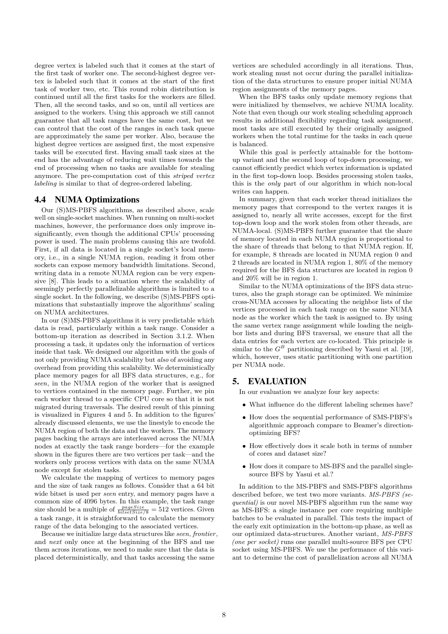degree vertex is labeled such that it comes at the start of the first task of worker one. The second-highest degree vertex is labeled such that it comes at the start of the first task of worker two, etc. This round robin distribution is continued until all the first tasks for the workers are filled. Then, all the second tasks, and so on, until all vertices are assigned to the workers. Using this approach we still cannot guarantee that all task ranges have the same cost, but we can control that the cost of the ranges in each task queue are approximately the same per worker. Also, because the highest degree vertices are assigned first, the most expensive tasks will be executed first. Having small task sizes at the end has the advantage of reducing wait times towards the end of processing when no tasks are available for stealing anymore. The pre-computation cost of this *striped vertex labeling* is similar to that of degree-ordered labeling.

### 4.4 NUMA Optimizations

Our (S)MS-PBFS algorithms, as described above, scale well on single-socket machines. When running on multi-socket machines, however, the performance does only improve insignificantly, even though the additional CPUs' processing power is used. The main problems causing this are twofold. First, if all data is located in a single socket's local memory, i.e., in a single NUMA region, reading it from other sockets can expose memory bandwidth limitations. Second, writing data in a remote NUMA region can be very expensive [8]. This leads to a situation where the scalability of seemingly perfectly parallelizable algorithms is limited to a single socket. In the following, we describe (S)MS-PBFS optimizations that substantially improve the algorithms' scaling on NUMA architectures.

In our (S)MS-PBFS algorithms it is very predictable which data is read, particularly within a task range. Consider a bottom-up iteration as described in Section 3.1.2. When processing a task, it updates only the information of vertices inside that task. We designed our algorithm with the goals of not only providing NUMA scalability but *also* of avoiding any overhead from providing this scalability. We deterministically place memory pages for all BFS data structures, e.g., for *seen*, in the NUMA region of the worker that is assigned to vertices contained in the memory page. Further, we pin each worker thread to a specific CPU core so that it is not migrated during traversals. The desired result of this pinning is visualized in Figures 4 and 5. In addition to the figures' already discussed elements, we use the linestyle to encode the NUMA region of both the data and the workers. The memory pages backing the arrays are interleaved across the NUMA nodes at exactly the task range borders—for the example shown in the figures there are two vertices per task—and the workers only process vertices with data on the same NUMA node except for stolen tasks.

We calculate the mapping of vertices to memory pages and the size of task ranges as follows. Consider that a 64 bit wide bitset is used per *seen* entry, and memory pages have a common size of 4096 bytes. In this example, the task range size should be a multiple of  $\frac{pageSize}{bitsetsize/8} = 512$  vertices. Given a task range, it is straightforward to calculate the memory range of the data belonging to the associated vertices.

Because we initialize large data structures like *seen*, *frontier*, and *next* only once at the beginning of the BFS and use them across iterations, we need to make sure that the data is placed deterministically, and that tasks accessing the same

vertices are scheduled accordingly in all iterations. Thus, work stealing must not occur during the parallel initialization of the data structures to ensure proper initial NUMA region assignments of the memory pages.

When the BFS tasks only update memory regions that were initialized by themselves, we achieve NUMA locality. Note that even though our work stealing scheduling approach results in additional flexibility regarding task assignment, most tasks are still executed by their originally assigned workers when the total runtime for the tasks in each queue is balanced.

While this goal is perfectly attainable for the bottomup variant and the second loop of top-down processing, we cannot efficiently predict which vertex information is updated in the first top-down loop. Besides processing stolen tasks, this is the *only* part of our algorithm in which non-local writes can happen.

In summary, given that each worker thread initializes the memory pages that correspond to the vertex ranges it is assigned to, nearly all write accesses, except for the first top-down loop and the work stolen from other threads, are NUMA-local. (S)MS-PBFS further guarantee that the share of memory located in each NUMA region is proportional to the share of threads that belong to that NUMA region. If, for example, 8 threads are located in NUMA region 0 and 2 threads are located in NUMA region 1, 80% of the memory required for the BFS data structures are located in region 0 and 20% will be in region 1.

Similar to the NUMA optimizations of the BFS data structures, also the graph storage can be optimized. We minimize cross-NUMA accesses by allocating the neighbor lists of the vertices processed in each task range on the same NUMA node as the worker which the task is assigned to. By using the same vertex range assignment while loading the neighbor lists and during BFS traversal, we ensure that all the data entries for each vertex are co-located. This principle is similar to the  $G^B$  partitioning described by Yasui et al. [19], which, however, uses static partitioning with one partition per NUMA node.

### 5. EVALUATION

In our evaluation we analyze four key aspects:

- What influence do the different labeling schemes have?
- How does the sequential performance of SMS-PBFS's algorithmic approach compare to Beamer's directionoptimizing BFS?
- How effectively does it scale both in terms of number of cores and dataset size?
- How does it compare to MS-BFS and the parallel singlesource BFS by Yasui et al.?

In addition to the MS-PBFS and SMS-PBFS algorithms described before, we test two more variants. *MS-PBFS (sequential)* is our novel MS-PBFS algorithm run the same way as MS-BFS: a single instance per core requiring multiple batches to be evaluated in parallel. This tests the impact of the early exit optimization in the bottom-up phase, as well as our optimized data-structures. Another variant, *MS-PBFS (one per socket)* runs one parallel multi-source BFS per CPU socket using MS-PBFS. We use the performance of this variant to determine the cost of parallelization across all NUMA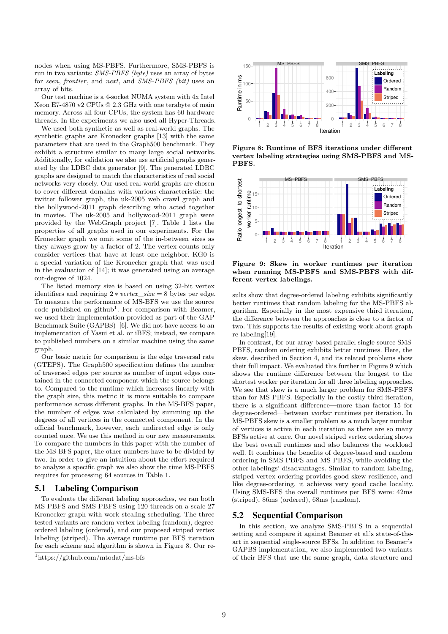nodes when using MS-PBFS. Furthermore, SMS-PBFS is run in two variants: *SMS-PBFS (byte)* uses an array of bytes for *seen*, *frontier*, and *next*, and *SMS-PBFS (bit)* uses an array of bits.

Our test machine is a 4-socket NUMA system with 4x Intel Xeon E7-4870 v2 CPUs @ 2.3 GHz with one terabyte of main memory. Across all four CPUs, the system has 60 hardware threads. In the experiments we also used all Hyper-Threads.

We used both synthetic as well as real-world graphs. The synthetic graphs are Kronecker graphs [13] with the same parameters that are used in the Graph500 benchmark. They exhibit a structure similar to many large social networks. Additionally, for validation we also use artificial graphs generated by the LDBC data generator [9]. The generated LDBC graphs are designed to match the characteristics of real social networks very closely. Our used real-world graphs are chosen to cover different domains with various characteristic: the twitter follower graph, the uk-2005 web crawl graph and the hollywood-2011 graph describing who acted together in movies. The uk-2005 and hollywood-2011 graph were provided by the WebGraph project [7]. Table 1 lists the properties of all graphs used in our experiments. For the Kronecker graph we omit some of the in-between sizes as they always grow by a factor of 2. The vertex counts only consider vertices that have at least one neighbor. KG0 is a special variation of the Kronecker graph that was used in the evaluation of [14]; it was generated using an average out-degree of 1024.

The listed memory size is based on using 32-bit vertex identifiers and requiring  $2 * vertex\_size = 8$  bytes per edge. To measure the performance of MS-BFS we use the source  $\c{code}$  published on github<sup>1</sup>. For comparison with Beamer, we used their implementation provided as part of the GAP Benchmark Suite (GAPBS) [6]. We did not have access to an implementation of Yasui et al. or iBFS; instead, we compare to published numbers on a similar machine using the same graph.

Our basic metric for comparison is the edge traversal rate (GTEPS). The Graph500 specification defines the number of traversed edges per source as number of input edges contained in the connected component which the source belongs to. Compared to the runtime which increases linearly with the graph size, this metric it is more suitable to compare performance across different graphs. In the MS-BFS paper, the number of edges was calculated by summing up the degrees of all vertices in the connected component. In the official benchmark, however, each undirected edge is only counted once. We use this method in our new measurements. To compare the numbers in this paper with the number of the MS-BFS paper, the other numbers have to be divided by two. In order to give an intuition about the effort required to analyze a specific graph we also show the time MS-PBFS requires for processing 64 sources in Table 1.

### 5.1 Labeling Comparison

To evaluate the different labeling approaches, we ran both MS-PBFS and SMS-PBFS using 120 threads on a scale 27 Kronecker graph with work stealing scheduling. The three tested variants are random vertex labeling (random), degreeordered labeling (ordered), and our proposed striped vertex labeling (striped). The average runtime per BFS iteration for each scheme and algorithm is shown in Figure 8. Our re-



**Figure 8: Runtime of BFS iterations under different vertex labeling strategies using SMS-PBFS and MS-PBFS.**



**Figure 9: Skew in worker runtimes per iteration when running MS-PBFS and SMS-PBFS with different vertex labelings.**

sults show that degree-ordered labeling exhibits significantly better runtimes that random labeling for the MS-PBFS algorithm. Especially in the most expensive third iteration, the difference between the approaches is close to a factor of two. This supports the results of existing work about graph re-labeling[19].

In contrast, for our array-based parallel single-source SMS-PBFS, random ordering exhibits better runtimes. Here, the skew, described in Section 4, and its related problems show their full impact. We evaluated this further in Figure 9 which shows the runtime difference between the longest to the shortest worker per iteration for all three labeling approaches. We see that skew is a much larger problem for SMS-PBFS than for MS-PBFS. Especially in the costly third iteration, there is a significant difference—more than factor 15 for degree-ordered—between *worker* runtimes per iteration. In MS-PBFS skew is a smaller problem as a much larger number of vertices is active in each iteration as there are so many BFSs active at once. Our novel striped vertex ordering shows the best overall runtimes and also balances the workload well. It combines the benefits of degree-based and random ordering in SMS-PBFS and MS-PBFS, while avoiding the other labelings' disadvantages. Similar to random labeling, striped vertex ordering provides good skew resilience, and like degree-ordering, it achieves very good cache locality. Using SMS-BFS the overall runtimes per BFS were: 42ms (striped), 86ms (ordered), 68ms (random).

# 5.2 Sequential Comparison

In this section, we analyze SMS-PBFS in a sequential setting and compare it against Beamer et al.'s state-of-theart in sequential single-source BFSs. In addition to Beamer's GAPBS implementation, we also implemented two variants of their BFS that use the same graph, data structure and

<sup>1</sup>https://github.com/mtodat/ms-bfs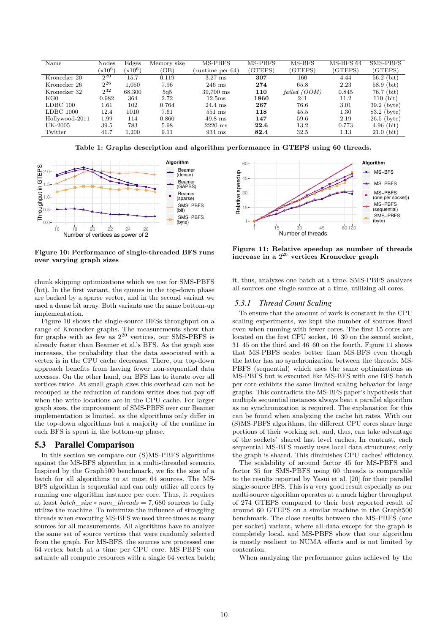| Name           | Nodes                             | Edges                             | Memory size | MS-PBFS            | MS-PBFS | MS-BFS         | MS-BFS 64 | <b>SMS-PBFS</b> |
|----------------|-----------------------------------|-----------------------------------|-------------|--------------------|---------|----------------|-----------|-----------------|
|                | $\langle \mathrm{x} 10^6 \rangle$ | $\langle \mathrm{x} 10^6 \rangle$ | 'GB)        | (runtime per 64)   | (GTEPS) | (GTEPS)        | (GTEPS)   | (GTEPS)         |
| Kronecker 20   | $2^{20}$                          | 15.7                              | 0.119       | $3.27$ ms          | 307     | 160            | 4.44      | $56.2$ (bit)    |
| Kronecker 26   | $2^{26}$                          | 1.050                             | 7.96        | $246$ ms           | 274     | 65.8           | 2.23      | $58.9$ (bit)    |
| Kronecker 32   | $2^{32}$                          | 68,300                            | 5q5         | 39,700 ms          | 110     | failed $(OOM)$ | 0.845     | $76.7$ (bit)    |
| KG0            | 0.982                             | 364                               | 2.72        | 12.5 <sub>ms</sub> | 1860    | 241            | 11.2      | 110(hit)        |
| LDBC 100       | 1.61                              | 102                               | 0.764       | 24.4 ms            | 267     | 76.6           | 3.01      | $39.2$ (byte)   |
| LDBC 1000      | 12.4                              | 1010                              | 7.61        | $551$ ms           | 118     | 45.5           | 1.30      | $83.2$ (byte)   |
| Hollywood-2011 | 1.99                              | 114                               | 0.860       | $49.8$ ms          | 147     | 59.6           | 2.19      | $26.5$ (byte)   |
| UK-2005        | 39.5                              | 783                               | 5.98        | $2220 \text{ ms}$  | 22.6    | 13.2           | 0.773     | $4.96$ (bit)    |
| Twitter        | 41.7                              | 1.200                             | 9.11        | 934 ms             | 82.4    | 32.5           | 1.13      | $21.0$ (bit)    |

**Table 1: Graphs description and algorithm performance in GTEPS using 60 threads.**



**Figure 10: Performance of single-threaded BFS runs over varying graph sizes**

chunk skipping optimizations which we use for SMS-PBFS (bit). In the first variant, the queues in the top-down phase are backed by a sparse vector, and in the second variant we used a dense bit array. Both variants use the same bottom-up implementation.

Figure 10 shows the single-source BFSs throughput on a range of Kronecker graphs. The measurements show that for graphs with as few as  $2^{20}$  vertices, our SMS-PBFS is already faster than Beamer et al.'s BFS. As the graph size increases, the probability that the data associated with a vertex is in the CPU cache decreases. There, our top-down approach benefits from having fewer non-sequential data accesses. On the other hand, our BFS has to iterate over all vertices twice. At small graph sizes this overhead can not be recouped as the reduction of random writes does not pay off when the write locations are in the CPU cache. For larger graph sizes, the improvement of SMS-PBFS over our Beamer implementation is limited, as the algorithms only differ in the top-down algorithms but a majority of the runtime in each BFS is spent in the bottom-up phase.

#### 5.3 Parallel Comparison

In this section we compare our (S)MS-PBFS algorithms against the MS-BFS algorithm in a multi-threaded scenario. Inspired by the Graph500 benchmark, we fix the size of a batch for all algorithms to at most 64 sources. The MS-BFS algorithm is sequential and can only utilize all cores by running one algorithm instance per core. Thus, it requires at least *batch*\_*size* ∗ *num*\_*threads* = 7*,* 680 sources to fully utilize the machine. To minimize the influence of straggling threads when executing MS-BFS we used three times as many sources for all measurements. All algorithms have to analyze the same set of source vertices that were randomly selected from the graph. For MS-BFS, the sources are processed one 64-vertex batch at a time per CPU core. MS-PBFS can saturate all compute resources with a single 64-vertex batch;



**Figure 11: Relative speedup as number of threads increase in a** 2 <sup>26</sup> **vertices Kronecker graph**

it, thus, analyzes one batch at a time. SMS-PBFS analyzes all sources one single source at a time, utilizing all cores.

### *5.3.1 Thread Count Scaling*

To ensure that the amount of work is constant in the CPU scaling experiments, we kept the number of sources fixed even when running with fewer cores. The first 15 cores are located on the first CPU socket, 16–30 on the second socket, 31–45 on the third and 46–60 on the fourth. Figure 11 shows that MS-PBFS scales better than MS-BFS even though the latter has no synchronization between the threads. MS-PBFS (sequential) which uses the same optimizations as MS-PBFS but is executed like MS-BFS with one BFS batch per core exhibits the same limited scaling behavior for large graphs. This contradicts the MS-BFS paper's hypothesis that multiple sequential instances always beat a parallel algorithm as no synchronization is required. The explanation for this can be found when analyzing the cache hit rates. With our (S)MS-PBFS algorithms, the different CPU cores share large portions of their working set, and, thus, can take advantage of the sockets' shared last level caches. In contrast, each sequential MS-BFS mostly uses local data structures; only the graph is shared. This diminishes CPU caches' efficiency.

The scalability of around factor 45 for MS-PBFS and factor 35 for SMS-PBFS using 60 threads is comparable to the results reported by Yasui et al. [20] for their parallel single-source BFS. This is a very good result especially as our multi-source algorithm operates at a much higher throughput of 274 GTEPS compared to their best reported result of around 60 GTEPS on a similar machine in the Graph500 benchmark. The close results between the MS-PBFS (one per socket) variant, where all data except for the graph is completely local, and MS-PBFS show that our algorithm is mostly resilient to NUMA effects and is not limited by contention.

When analyzing the performance gains achieved by the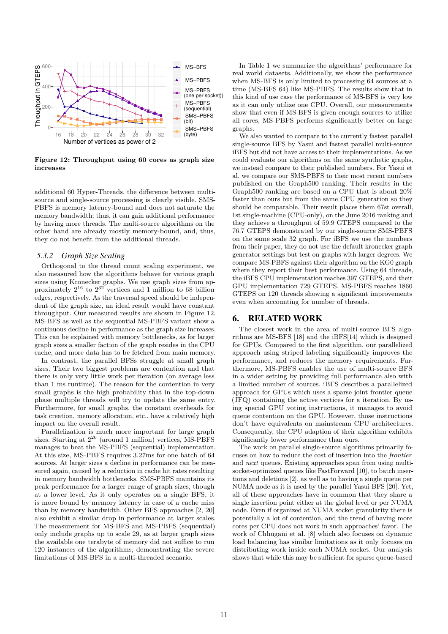

**Figure 12: Throughput using 60 cores as graph size increases**

additional 60 Hyper-Threads, the difference between multisource and single-source processing is clearly visible. SMS-PBFS is memory latency-bound and does not saturate the memory bandwidth; thus, it can gain additional performance by having more threads. The multi-source algorithms on the other hand are already mostly memory-bound, and, thus, they do not benefit from the additional threads.

#### *5.3.2 Graph Size Scaling*

Orthogonal to the thread count scaling experiment, we also measured how the algorithms behave for various graph sizes using Kronecker graphs. We use graph sizes from approximately  $2^{16}$  to  $2^{32}$  vertices and 1 million to 68 billion edges, respectively. As the traversal speed should be independent of the graph size, an ideal result would have constant throughput. Our measured results are shown in Figure 12. MS-BFS as well as the sequential MS-PBFS variant show a continuous decline in performance as the graph size increases. This can be explained with memory bottlenecks, as for larger graph sizes a smaller faction of the graph resides in the CPU cache, and more data has to be fetched from main memory.

In contrast, the parallel BFSs struggle at small graph sizes. Their two biggest problems are contention and that there is only very little work per iteration (on average less than 1 ms runtime). The reason for the contention in very small graphs is the high probability that in the top-down phase multiple threads will try to update the same entry. Furthermore, for small graphs, the constant overheads for task creation, memory allocation, etc., have a relatively high impact on the overall result.

Parallelization is much more important for large graph sizes. Starting at  $2^{20}$  (around 1 million) vertices, MS-PBFS manages to beat the MS-PBFS (sequential) implementation. At this size, MS-PBFS requires 3.27ms for one batch of 64 sources. At larger sizes a decline in performance can be measured again, caused by a reduction in cache hit rates resulting in memory bandwidth bottlenecks. SMS-PBFS maintains its peak performance for a larger range of graph sizes, though at a lower level. As it only operates on a single BFS, it is more bound by memory latency in case of a cache miss than by memory bandwidth. Other BFS approaches [2, 20] also exhibit a similar drop in performance at larger scales. The measurement for MS-BFS and MS-PBFS (sequential) only include graphs up to scale 29, as at larger graph sizes the available one terabyte of memory did not suffice to run 120 instances of the algorithms, demonstrating the severe limitations of MS-BFS in a multi-threaded scenario.

In Table 1 we summarize the algorithms' performance for real world datasets. Additionally, we show the performance when MS-BFS is only limited to processing 64 sources at a time (MS-BFS 64) like MS-PBFS. The results show that in this kind of use case the performance of MS-BFS is very low as it can only utilize one CPU. Overall, our measurements show that even if MS-BFS is given enough sources to utilize all cores, MS-PBFS performs significantly better on large graphs.

We also wanted to compare to the currently fastest parallel single-source BFS by Yasui and fastest parallel multi-source iBFS but did not have access to their implementations. As we could evaluate our algorithms on the same synthetic graphs, we instead compare to their published numbers. For Yasui et al. we compare our SMS-PBFS to their most recent numbers published on the Graph500 ranking. Their results in the Graph500 ranking are based on a CPU that is about 20% faster than ours but from the same CPU generation so they should be comparable. Their result places them 67st overall, 1st single-machine (CPU-only), on the June 2016 ranking and they achieve a throughput of 59.9 GTEPS compared to the 76.7 GTEPS demonstrated by our single-source SMS-PBFS on the same scale 32 graph. For iBFS we use the numbers from their paper, they do not use the default kronecker graph generator settings but test on graphs with larger degrees. We compare MS-PBFS against their algorithm on the KG0 graph where they report their best performance. Using 64 threads, the iBFS CPU implementation reaches 397 GTEPS, and their GPU implementation 729 GTEPS. MS-PBFS reaches 1860 GTEPS on 120 threads showing a significant improvements even when accounting for number of threads.

### 6. RELATED WORK

The closest work in the area of multi-source BFS algorithms are MS-BFS [18] and the iBFS[14] which is designed for GPUs. Compared to the first algorithm, our parallelized approach using striped labeling significantly improves the performance, and reduces the memory requirements. Furthermore, MS-PBFS enables the use of multi-source BFS in a wider setting by providing full performance also with a limited number of sources. iBFS describes a parallelized approach for GPUs which uses a sparse joint frontier queue (JFQ) containing the active vertices for a iteration. By using special GPU voting instructions, it manages to avoid queue contention on the GPU. However, those instructions don't have equivalents on mainstream CPU architectures. Consequently, the CPU adaption of their algorithm exhibits significantly lower performance than ours.

The work on parallel single-source algorithms primarily focuses on how to reduce the cost of insertion into the *frontier* and *next* queues. Existing approaches span from using multisocket-optimized queues like FastForward [10], to batch insertions and deletions [2], as well as to having a single queue per NUMA node as it is used by the parallel Yasui BFS [20]. Yet, all of these approaches have in common that they share a single insertion point either at the global level or per NUMA node. Even if organized at NUMA socket granularity there is potentially a lot of contention, and the trend of having more cores per CPU does not work in such approaches' favor. The work of Chhugani et al. [8] which also focuses on dynamic load balancing has similar limitations as it only focuses on distributing work inside each NUMA socket. Our analysis shows that while this may be sufficient for sparse queue-based